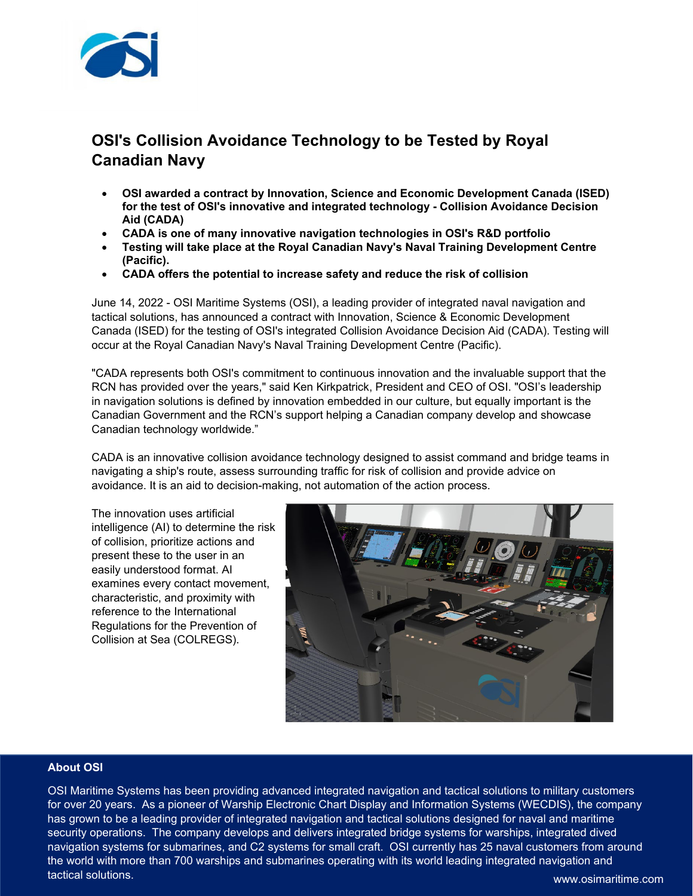

## **OSI's Collision Avoidance Technology to be Tested by Royal Canadian Navy**

- **OSI awarded a contract by Innovation, Science and Economic Development Canada (ISED) for the test of OSI's innovative and integrated technology - Collision Avoidance Decision Aid (CADA)**
- **CADA is one of many innovative navigation technologies in OSI's R&D portfolio**
- **Testing will take place at the Royal Canadian Navy's Naval Training Development Centre (Pacific).**
- **CADA offers the potential to increase safety and reduce the risk of collision**

June 14, 2022 - OSI Maritime Systems (OSI), a leading provider of integrated naval navigation and tactical solutions, has announced a contract with Innovation, Science & Economic Development Canada (ISED) for the testing of OSI's integrated Collision Avoidance Decision Aid (CADA). Testing will occur at the Royal Canadian Navy's Naval Training Development Centre (Pacific).

"CADA represents both OSI's commitment to continuous innovation and the invaluable support that the RCN has provided over the years," said Ken Kirkpatrick, President and CEO of OSI. "OSI's leadership in navigation solutions is defined by innovation embedded in our culture, but equally important is the Canadian Government and the RCN's support helping a Canadian company develop and showcase Canadian technology worldwide."

CADA is an innovative collision avoidance technology designed to assist command and bridge teams in navigating a ship's route, assess surrounding traffic for risk of collision and provide advice on avoidance. It is an aid to decision-making, not automation of the action process.

The innovation uses artificial intelligence (AI) to determine the risk of collision, prioritize actions and present these to the user in an easily understood format. AI examines every contact movement, characteristic, and proximity with reference to the International Regulations for the Prevention of Collision at Sea (COLREGS).



## **About OSI**

OSI Maritime Systems has been providing advanced integrated navigation and tactical solutions to military customers for over 20 years. As a pioneer of Warship Electronic Chart Display and Information Systems (WECDIS), the company has grown to be a leading provider of integrated navigation and tactical solutions designed for naval and maritime security operations. The company develops and delivers integrated bridge systems for warships, integrated dived navigation systems for submarines, and C2 systems for small craft. OSI currently has 25 naval customers from around the world with more than 700 warships and submarines operating with its world leading integrated navigation and tactical solutions.